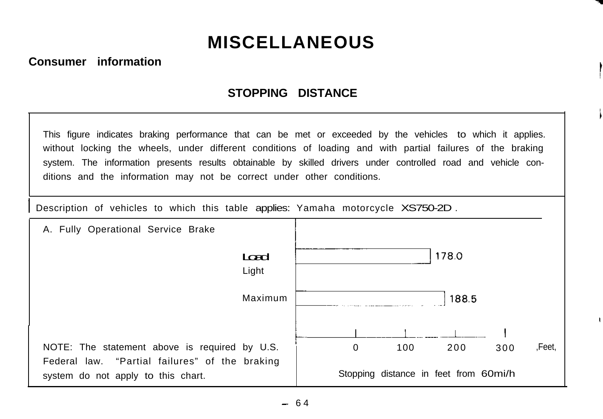# **MISCELLANEOUS**

#### **Consumer information**

## **STOPPING DISTANCE**

This figure indicates braking performance that can be met or exceeded by the vehicles to which it applies. without locking the wheels, under different conditions of loading and with partial failures of the braking system. The information presents results obtainable by skilled drivers under controlled road and vehicle conditions and the information may not be correct under other conditions.

Description of vehicles to which this table applies: Yamaha motorcycle XS750-2D.